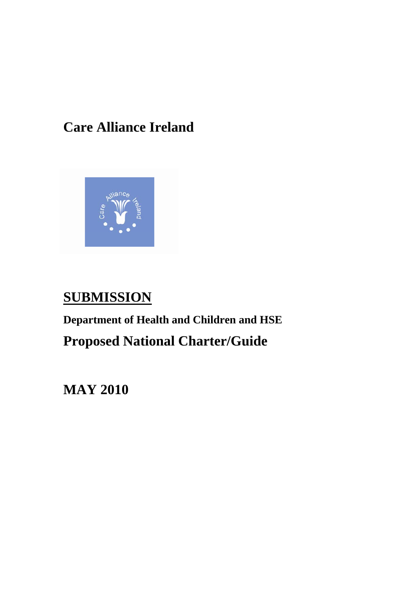# **Care Alliance Ireland**



## **SUBMISSION**

# **Department of Health and Children and HSE Proposed National Charter/Guide**

**MAY 2010**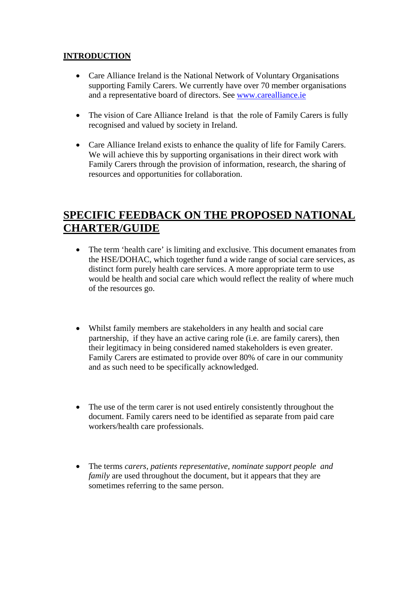#### **INTRODUCTION**

- Care Alliance Ireland is the National Network of Voluntary Organisations supporting Family Carers. We currently have over 70 member organisations and a representative board of directors. See [www.carealliance.ie](http://www.carealliance.ie/)
- The vision of Care Alliance Ireland is that the role of Family Carers is fully recognised and valued by society in Ireland.
- Care Alliance Ireland exists to enhance the quality of life for Family Carers. We will achieve this by supporting organisations in their direct work with Family Carers through the provision of information, research, the sharing of resources and opportunities for collaboration.

#### **SPECIFIC FEEDBACK ON THE PROPOSED NATIONAL CHARTER/GUIDE**

- The term 'health care' is limiting and exclusive. This document emanates from the HSE/DOHAC, which together fund a wide range of social care services, as distinct form purely health care services. A more appropriate term to use would be health and social care which would reflect the reality of where much of the resources go.
- Whilst family members are stakeholders in any health and social care partnership, if they have an active caring role (i.e. are family carers), then their legitimacy in being considered named stakeholders is even greater. Family Carers are estimated to provide over 80% of care in our community and as such need to be specifically acknowledged.
- The use of the term carer is not used entirely consistently throughout the document. Family carers need to be identified as separate from paid care workers/health care professionals.
- The terms *carers, patients representative, nominate support people and family* are used throughout the document, but it appears that they are sometimes referring to the same person.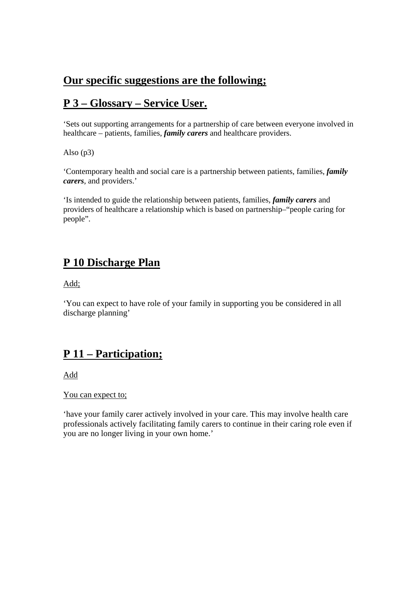### **Our specific suggestions are the following;**

## **P 3 – Glossary – Service User.**

'Sets out supporting arrangements for a partnership of care between everyone involved in healthcare – patients, families, *family carers* and healthcare providers.

Also  $(p3)$ 

'Contemporary health and social care is a partnership between patients, families, *family carers*, and providers.'

'Is intended to guide the relationship between patients, families, *family carers* and providers of healthcare a relationship which is based on partnership–"people caring for people".

## **P 10 Discharge Plan**

Add;

'You can expect to have role of your family in supporting you be considered in all discharge planning'

## **P 11 – Participation;**

Add

You can expect to;

'have your family carer actively involved in your care. This may involve health care professionals actively facilitating family carers to continue in their caring role even if you are no longer living in your own home.'